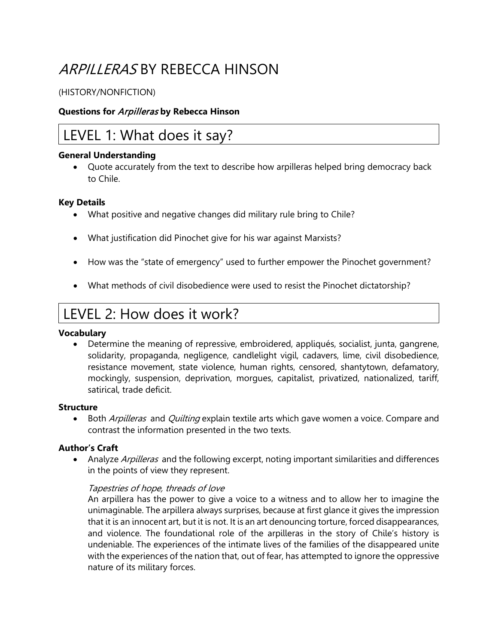# ARPILLERAS BY REBECCA HINSON

#### (HISTORY/NONFICTION)

#### **Questions for** Arpilleras **by Rebecca Hinson**

## LEVEL 1: What does it say?

#### **General Understanding**

• Quote accurately from the text to describe how arpilleras helped bring democracy back to Chile.

#### **Key Details**

- What positive and negative changes did military rule bring to Chile?
- What justification did Pinochet give for his war against Marxists?
- How was the "state of emergency" used to further empower the Pinochet government?
- What methods of civil disobedience were used to resist the Pinochet dictatorship?

## LEVEL 2: How does it work?

#### **Vocabulary**

• Determine the meaning of repressive, embroidered, appliqués, socialist, junta, gangrene, solidarity, propaganda, negligence, candlelight vigil, cadavers, lime, civil disobedience, resistance movement, state violence, human rights, censored, shantytown, defamatory, mockingly, suspension, deprivation, morgues, capitalist, privatized, nationalized, tariff, satirical, trade deficit.

#### **Structure**

• Both *Arpilleras* and *Quilting* explain textile arts which gave women a voice. Compare and contrast the information presented in the two texts.

#### **Author's Craft**

• Analyze *Arpilleras* and the following excerpt, noting important similarities and differences in the points of view they represent.

#### Tapestries of hope, threads of love

An arpillera has the power to give a voice to a witness and to allow her to imagine the unimaginable. The arpillera always surprises, because at first glance it gives the impression that it is an innocent art, but it is not. It is an art denouncing torture, forced disappearances, and violence. The foundational role of the arpilleras in the story of Chile's history is undeniable. The experiences of the intimate lives of the families of the disappeared unite with the experiences of the nation that, out of fear, has attempted to ignore the oppressive nature of its military forces.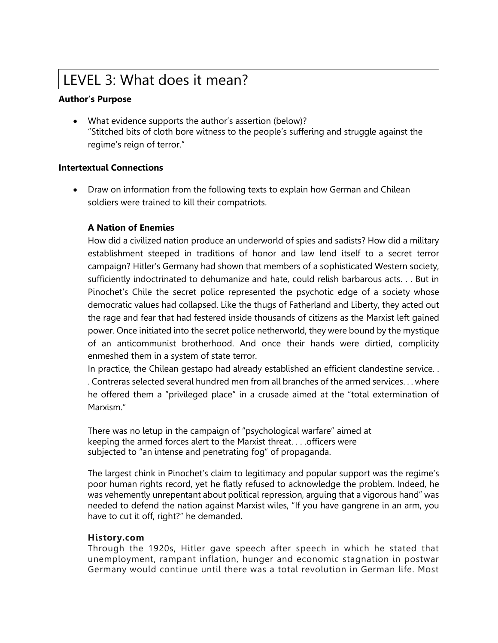# LEVEL 3: What does it mean?

#### **Author's Purpose**

• What evidence supports the author's assertion (below)? "Stitched bits of cloth bore witness to the people's suffering and struggle against the regime's reign of terror."

#### **Intertextual Connections**

• Draw on information from the following texts to explain how German and Chilean soldiers were trained to kill their compatriots.

#### **A Nation of Enemies**

How did a civilized nation produce an underworld of spies and sadists? How did a military establishment steeped in traditions of honor and law lend itself to a secret terror campaign? Hitler's Germany had shown that members of a sophisticated Western society, sufficiently indoctrinated to dehumanize and hate, could relish barbarous acts. . . But in Pinochet's Chile the secret police represented the psychotic edge of a society whose democratic values had collapsed. Like the thugs of Fatherland and Liberty, they acted out the rage and fear that had festered inside thousands of citizens as the Marxist left gained power. Once initiated into the secret police netherworld, they were bound by the mystique of an anticommunist brotherhood. And once their hands were dirtied, complicity enmeshed them in a system of state terror.

In practice, the Chilean gestapo had already established an efficient clandestine service. . . Contreras selected several hundred men from all branches of the armed services. . . where he offered them a "privileged place" in a crusade aimed at the "total extermination of Marxism."

There was no letup in the campaign of "psychological warfare" aimed at keeping the armed forces alert to the Marxist threat. . . .officers were subjected to "an intense and penetrating fog" of propaganda.

The largest chink in Pinochet's claim to legitimacy and popular support was the regime's poor human rights record, yet he flatly refused to acknowledge the problem. Indeed, he was vehemently unrepentant about political repression, arguing that a vigorous hand" was needed to defend the nation against Marxist wiles, "If you have gangrene in an arm, you have to cut it off, right?" he demanded.

#### **History.com**

Through the 1920s, Hitler gave speech after speech in which he stated that unemployment, rampant inflation, hunger and economic stagnation in postwar Germany would continue until there was a total revolution in German life. Most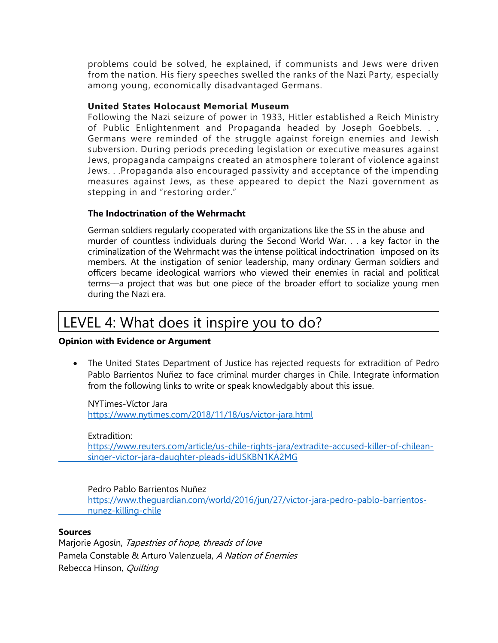problems could be solved, he explained, if communists and Jews were driven from the nation. His fiery speeches swelled the ranks of the Nazi Party, especially among young, economically disadvantaged Germans.

#### **United States Holocaust Memorial Museum**

Following the Nazi seizure of power in 1933, Hitler established a Reich Ministry of Public Enlightenment and Propaganda headed by Joseph Goebbels. . . Germans were reminded of the struggle against foreign enemies and Jewish subversion. During periods preceding legislation or executive measures against Jews, propaganda campaigns created an atmosphere tolerant of violence against Jews. . .Propaganda also encouraged passivity and acceptance of the impending measures against Jews, as these appeared to depict the Nazi government as stepping in and "restoring order."

#### **The Indoctrination of the Wehrmacht**

German soldiers regularly cooperated with organizations like the SS in the abuse and murder of countless individuals during the Second World War. . . a key factor in the criminalization of the Wehrmacht was the intense political indoctrination imposed on its members. At the instigation of senior leadership, many ordinary German soldiers and officers became ideological warriors who viewed their enemies in racial and political terms—a project that was but one piece of the broader effort to socialize young men during the Nazi era.

### LEVEL 4: What does it inspire you to do?

#### **Opinion with Evidence or Argument**

• The United States Department of Justice has rejected requests for extradition of Pedro Pablo Barrientos Nuñez to face criminal murder charges in Chile. Integrate information from the following links to write or speak knowledgably about this issue.

NYTimes-Víctor Jara <https://www.nytimes.com/2018/11/18/us/victor-jara.html>

#### Extradition:

[https://www.reuters.com/article/us-chile-rights-jara/extradite-accused-killer-of-chilean](https://www.reuters.com/article/us-chile-rights-jara/extradite-accused-killer-of-chilean-%09singer-victor-jara-daughter-pleads-idUSKBN1KA2MG)[singer-victor-jara-daughter-pleads-idUSKBN1KA2MG](https://www.reuters.com/article/us-chile-rights-jara/extradite-accused-killer-of-chilean-%09singer-victor-jara-daughter-pleads-idUSKBN1KA2MG)

Pedro Pablo Barrientos Nuñez

[https://www.theguardian.com/world/2016/jun/27/victor-jara-pedro-pablo-barrientos](https://www.theguardian.com/world/2016/jun/27/victor-jara-pedro-pablo-barrientos-%09nunez-killing-chile)[nunez-killing-chile](https://www.theguardian.com/world/2016/jun/27/victor-jara-pedro-pablo-barrientos-%09nunez-killing-chile)

#### **Sources**

Marjorie Agosín, Tapestries of hope, threads of love Pamela Constable & Arturo Valenzuela, A Nation of Enemies Rebecca Hinson, Quilting